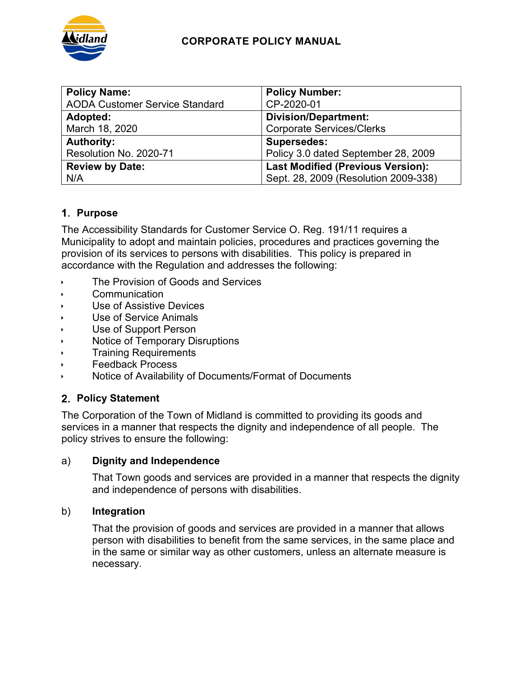

# **CORPORATE POLICY MANUAL**

| <b>Policy Name:</b>                   | <b>Policy Number:</b>                    |
|---------------------------------------|------------------------------------------|
| <b>AODA Customer Service Standard</b> | CP-2020-01                               |
| Adopted:                              | <b>Division/Department:</b>              |
| March 18, 2020                        | <b>Corporate Services/Clerks</b>         |
| <b>Authority:</b>                     | <b>Supersedes:</b>                       |
| Resolution No. 2020-71                | Policy 3.0 dated September 28, 2009      |
| <b>Review by Date:</b>                | <b>Last Modified (Previous Version):</b> |
| N/A                                   | Sept. 28, 2009 (Resolution 2009-338)     |

# **Purpose**

The Accessibility Standards for Customer Service O. Reg. 191/11 requires a Municipality to adopt and maintain policies, procedures and practices governing the provision of its services to persons with disabilities. This policy is prepared in accordance with the Regulation and addresses the following:

- The Provision of Goods and Services
- Communication
- Use of Assistive Devices
- Use of Service Animals
- Use of Support Person
- Notice of Temporary Disruptions
- Training Requirements
- Feedback Process
- Notice of Availability of Documents/Format of Documents

## **Policy Statement**

The Corporation of the Town of Midland is committed to providing its goods and services in a manner that respects the dignity and independence of all people. The policy strives to ensure the following:

## a) **Dignity and Independence**

That Town goods and services are provided in a manner that respects the dignity and independence of persons with disabilities.

#### b) **Integration**

That the provision of goods and services are provided in a manner that allows person with disabilities to benefit from the same services, in the same place and in the same or similar way as other customers, unless an alternate measure is necessary.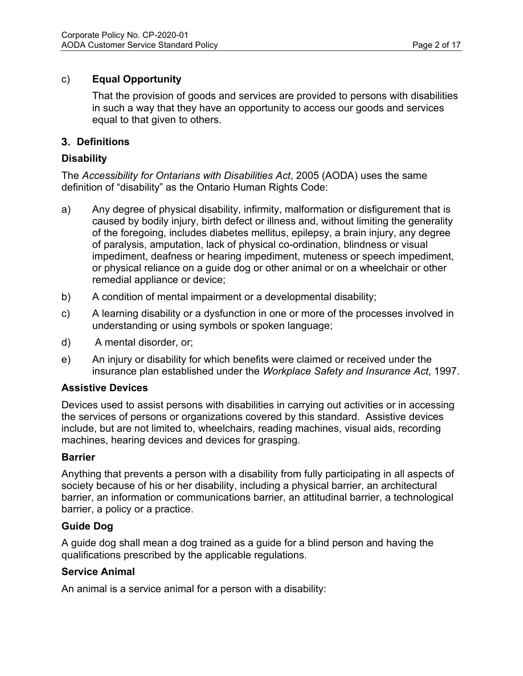# c) **Equal Opportunity**

That the provision of goods and services are provided to persons with disabilities in such a way that they have an opportunity to access our goods and services equal to that given to others.

# **Definitions**

# **Disability**

The *Accessibility for Ontarians with Disabilities Act*, 2005 (AODA) uses the same definition of "disability" as the Ontario Human Rights Code:

- a) Any degree of physical disability, infirmity, malformation or disfigurement that is caused by bodily injury, birth defect or illness and, without limiting the generality of the foregoing, includes diabetes mellitus, epilepsy, a brain injury, any degree of paralysis, amputation, lack of physical co-ordination, blindness or visual impediment, deafness or hearing impediment, muteness or speech impediment, or physical reliance on a guide dog or other animal or on a wheelchair or other remedial appliance or device;
- b) A condition of mental impairment or a developmental disability;
- c) A learning disability or a dysfunction in one or more of the processes involved in understanding or using symbols or spoken language;
- d) A mental disorder, or;
- e) An injury or disability for which benefits were claimed or received under the insurance plan established under the *Workplace Safety and Insurance Act*, 1997.

## **Assistive Devices**

Devices used to assist persons with disabilities in carrying out activities or in accessing the services of persons or organizations covered by this standard. Assistive devices include, but are not limited to, wheelchairs, reading machines, visual aids, recording machines, hearing devices and devices for grasping.

## **Barrier**

Anything that prevents a person with a disability from fully participating in all aspects of society because of his or her disability, including a physical barrier, an architectural barrier, an information or communications barrier, an attitudinal barrier, a technological barrier, a policy or a practice.

## **Guide Dog**

A guide dog shall mean a dog trained as a guide for a blind person and having the qualifications prescribed by the applicable regulations.

## **Service Animal**

An animal is a service animal for a person with a disability: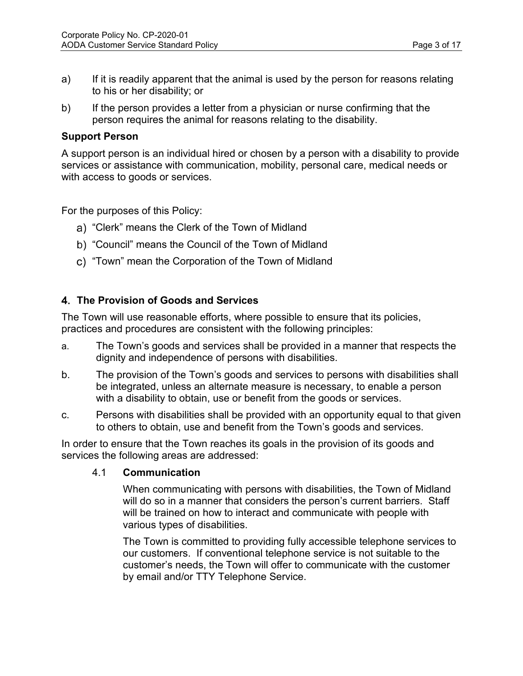- a) If it is readily apparent that the animal is used by the person for reasons relating to his or her disability; or
- b) If the person provides a letter from a physician or nurse confirming that the person requires the animal for reasons relating to the disability.

#### **Support Person**

A support person is an individual hired or chosen by a person with a disability to provide services or assistance with communication, mobility, personal care, medical needs or with access to goods or services.

For the purposes of this Policy:

- "Clerk" means the Clerk of the Town of Midland
- "Council" means the Council of the Town of Midland
- c) "Town" mean the Corporation of the Town of Midland

## **The Provision of Goods and Services**

The Town will use reasonable efforts, where possible to ensure that its policies, practices and procedures are consistent with the following principles:

- a. The Town's goods and services shall be provided in a manner that respects the dignity and independence of persons with disabilities.
- b. The provision of the Town's goods and services to persons with disabilities shall be integrated, unless an alternate measure is necessary, to enable a person with a disability to obtain, use or benefit from the goods or services.
- c. Persons with disabilities shall be provided with an opportunity equal to that given to others to obtain, use and benefit from the Town's goods and services.

In order to ensure that the Town reaches its goals in the provision of its goods and services the following areas are addressed:

#### 4.1 **Communication**

When communicating with persons with disabilities, the Town of Midland will do so in a manner that considers the person's current barriers. Staff will be trained on how to interact and communicate with people with various types of disabilities.

The Town is committed to providing fully accessible telephone services to our customers. If conventional telephone service is not suitable to the customer's needs, the Town will offer to communicate with the customer by email and/or TTY Telephone Service.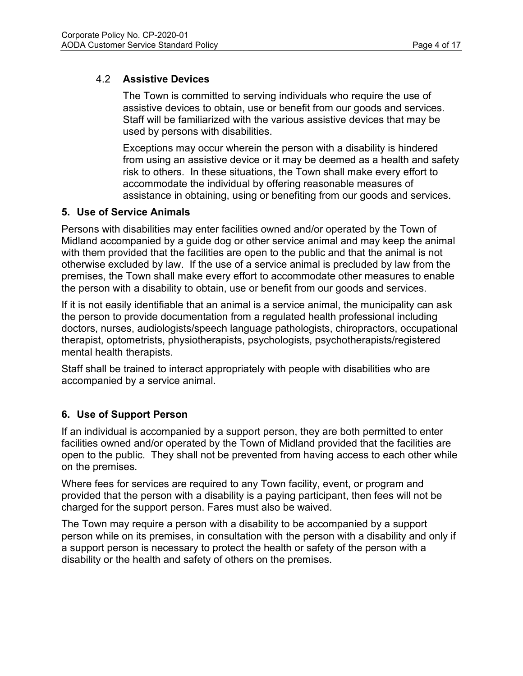# 4.2 **Assistive Devices**

The Town is committed to serving individuals who require the use of assistive devices to obtain, use or benefit from our goods and services. Staff will be familiarized with the various assistive devices that may be used by persons with disabilities.

Exceptions may occur wherein the person with a disability is hindered from using an assistive device or it may be deemed as a health and safety risk to others. In these situations, the Town shall make every effort to accommodate the individual by offering reasonable measures of assistance in obtaining, using or benefiting from our goods and services.

## **5. Use of Service Animals**

Persons with disabilities may enter facilities owned and/or operated by the Town of Midland accompanied by a guide dog or other service animal and may keep the animal with them provided that the facilities are open to the public and that the animal is not otherwise excluded by law. If the use of a service animal is precluded by law from the premises, the Town shall make every effort to accommodate other measures to enable the person with a disability to obtain, use or benefit from our goods and services.

If it is not easily identifiable that an animal is a service animal, the municipality can ask the person to provide documentation from a regulated health professional including doctors, nurses, audiologists/speech language pathologists, chiropractors, occupational therapist, optometrists, physiotherapists, psychologists, psychotherapists/registered mental health therapists.

Staff shall be trained to interact appropriately with people with disabilities who are accompanied by a service animal.

# **6. Use of Support Person**

If an individual is accompanied by a support person, they are both permitted to enter facilities owned and/or operated by the Town of Midland provided that the facilities are open to the public. They shall not be prevented from having access to each other while on the premises.

Where fees for services are required to any Town facility, event, or program and provided that the person with a disability is a paying participant, then fees will not be charged for the support person. Fares must also be waived.

The Town may require a person with a disability to be accompanied by a support person while on its premises, in consultation with the person with a disability and only if a support person is necessary to protect the health or safety of the person with a disability or the health and safety of others on the premises.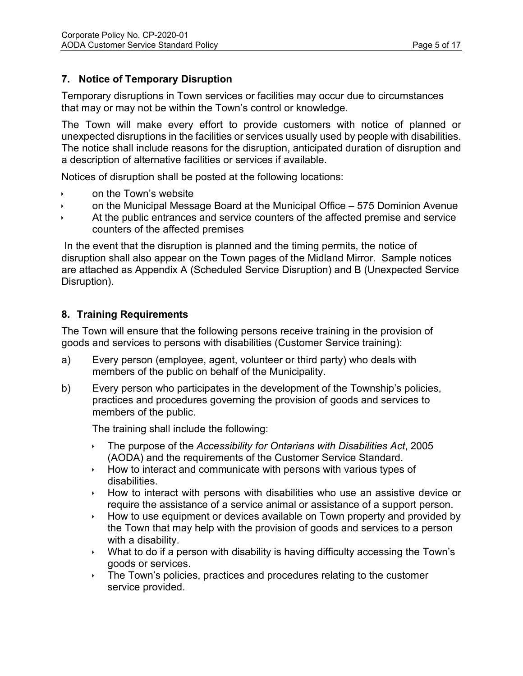# **7. Notice of Temporary Disruption**

Temporary disruptions in Town services or facilities may occur due to circumstances that may or may not be within the Town's control or knowledge.

The Town will make every effort to provide customers with notice of planned or unexpected disruptions in the facilities or services usually used by people with disabilities. The notice shall include reasons for the disruption, anticipated duration of disruption and a description of alternative facilities or services if available.

Notices of disruption shall be posted at the following locations:

- on the Town's website
- on the Municipal Message Board at the Municipal Office 575 Dominion Avenue
- At the public entrances and service counters of the affected premise and service counters of the affected premises

In the event that the disruption is planned and the timing permits, the notice of disruption shall also appear on the Town pages of the Midland Mirror. Sample notices are attached as Appendix A (Scheduled Service Disruption) and B (Unexpected Service Disruption).

## **8. Training Requirements**

The Town will ensure that the following persons receive training in the provision of goods and services to persons with disabilities (Customer Service training):

- a) Every person (employee, agent, volunteer or third party) who deals with members of the public on behalf of the Municipality.
- b) Every person who participates in the development of the Township's policies, practices and procedures governing the provision of goods and services to members of the public.

The training shall include the following:

- The purpose of the *Accessibility for Ontarians with Disabilities Act*, 2005 (AODA) and the requirements of the Customer Service Standard.
- $\rightarrow$  How to interact and communicate with persons with various types of disabilities.
- $\rightarrow$  How to interact with persons with disabilities who use an assistive device or require the assistance of a service animal or assistance of a support person.
- $\rightarrow$  How to use equipment or devices available on Town property and provided by the Town that may help with the provision of goods and services to a person with a disability.
- What to do if a person with disability is having difficulty accessing the Town's goods or services.
- $\rightarrow$  The Town's policies, practices and procedures relating to the customer service provided.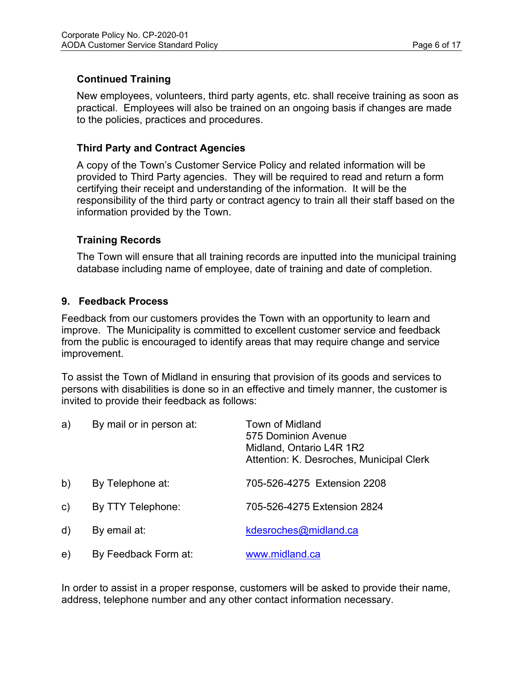# **Continued Training**

New employees, volunteers, third party agents, etc. shall receive training as soon as practical. Employees will also be trained on an ongoing basis if changes are made to the policies, practices and procedures.

## **Third Party and Contract Agencies**

A copy of the Town's Customer Service Policy and related information will be provided to Third Party agencies. They will be required to read and return a form certifying their receipt and understanding of the information. It will be the responsibility of the third party or contract agency to train all their staff based on the information provided by the Town.

## **Training Records**

The Town will ensure that all training records are inputted into the municipal training database including name of employee, date of training and date of completion.

## **9. Feedback Process**

Feedback from our customers provides the Town with an opportunity to learn and improve. The Municipality is committed to excellent customer service and feedback from the public is encouraged to identify areas that may require change and service improvement.

To assist the Town of Midland in ensuring that provision of its goods and services to persons with disabilities is done so in an effective and timely manner, the customer is invited to provide their feedback as follows:

| a)           | By mail or in person at: | Town of Midland<br>575 Dominion Avenue<br>Midland, Ontario L4R 1R2<br>Attention: K. Desroches, Municipal Clerk |
|--------------|--------------------------|----------------------------------------------------------------------------------------------------------------|
| b)           | By Telephone at:         | 705-526-4275 Extension 2208                                                                                    |
| $\mathsf{c}$ | By TTY Telephone:        | 705-526-4275 Extension 2824                                                                                    |
| d)           | By email at:             | kdesroches@midland.ca                                                                                          |
| e)           | By Feedback Form at:     | www.midland.ca                                                                                                 |

In order to assist in a proper response, customers will be asked to provide their name, address, telephone number and any other contact information necessary.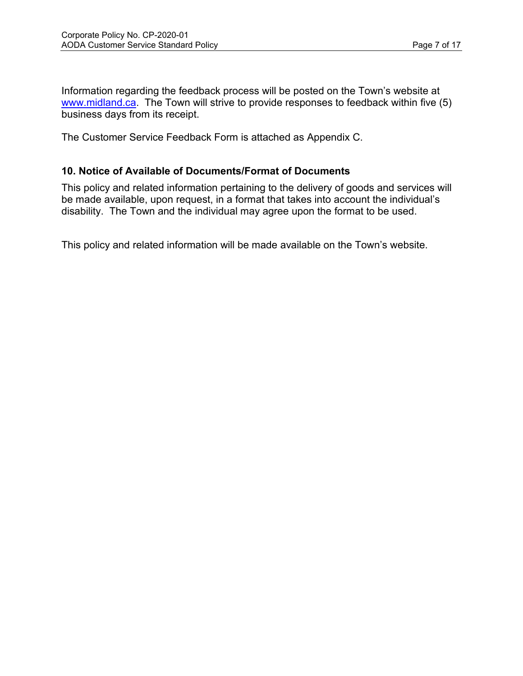Information regarding the feedback process will be posted on the Town's website at [www.midland.ca.](http://www.midland.ca/) The Town will strive to provide responses to feedback within five (5) business days from its receipt.

The Customer Service Feedback Form is attached as Appendix C.

## **10. Notice of Available of Documents/Format of Documents**

This policy and related information pertaining to the delivery of goods and services will be made available, upon request, in a format that takes into account the individual's disability. The Town and the individual may agree upon the format to be used.

This policy and related information will be made available on the Town's website.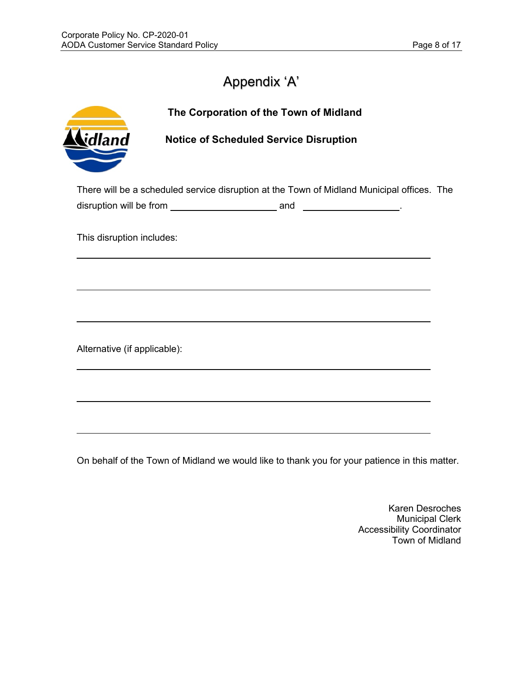# Appendix 'A'

|                              | The Corporation of the Town of Midland                                                     |  |
|------------------------------|--------------------------------------------------------------------------------------------|--|
| idland                       | <b>Notice of Scheduled Service Disruption</b>                                              |  |
|                              | There will be a scheduled service disruption at the Town of Midland Municipal offices. The |  |
|                              |                                                                                            |  |
| This disruption includes:    |                                                                                            |  |
|                              |                                                                                            |  |
|                              |                                                                                            |  |
|                              |                                                                                            |  |
|                              |                                                                                            |  |
| Alternative (if applicable): |                                                                                            |  |
|                              |                                                                                            |  |
|                              |                                                                                            |  |
|                              |                                                                                            |  |
|                              |                                                                                            |  |
|                              |                                                                                            |  |

On behalf of the Town of Midland we would like to thank you for your patience in this matter.

Karen Desroches Municipal Clerk Accessibility Coordinator Town of Midland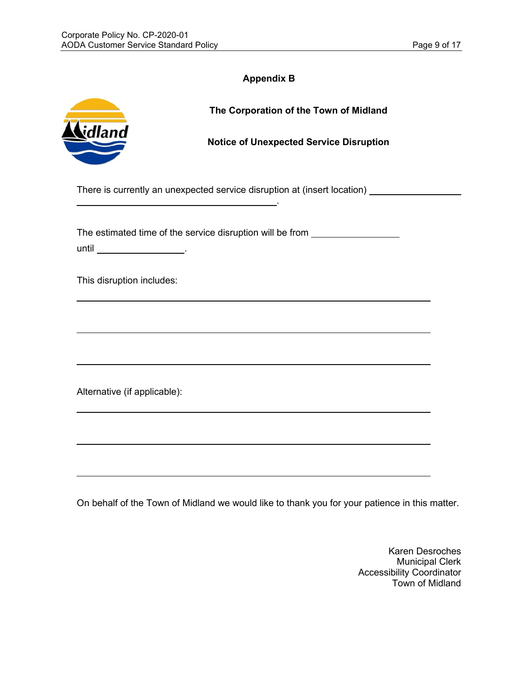| Appendix B |  |  |  |  |
|------------|--|--|--|--|
|------------|--|--|--|--|

| idland                       | The Corporation of the Town of Midland<br><b>Notice of Unexpected Service Disruption</b>                                                                                   |
|------------------------------|----------------------------------------------------------------------------------------------------------------------------------------------------------------------------|
|                              | There is currently an unexpected service disruption at (insert location) ______________<br>the contract of the contract of the contract of the contract of the contract of |
|                              | The estimated time of the service disruption will be from ______________________                                                                                           |
| This disruption includes:    |                                                                                                                                                                            |
|                              |                                                                                                                                                                            |
| Alternative (if applicable): |                                                                                                                                                                            |
|                              |                                                                                                                                                                            |
|                              |                                                                                                                                                                            |

On behalf of the Town of Midland we would like to thank you for your patience in this matter.

Karen Desroches Municipal Clerk Accessibility Coordinator Town of Midland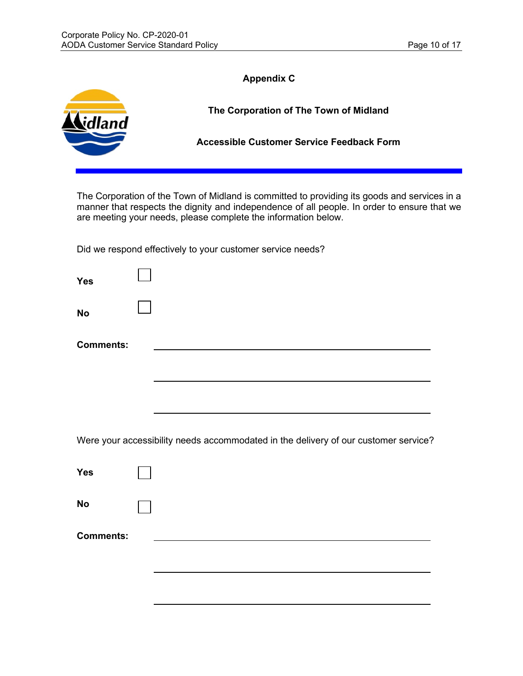|                  | <b>Appendix C</b>                                                                                                                                                                                                                                             |
|------------------|---------------------------------------------------------------------------------------------------------------------------------------------------------------------------------------------------------------------------------------------------------------|
| lland            | The Corporation of The Town of Midland                                                                                                                                                                                                                        |
|                  | <b>Accessible Customer Service Feedback Form</b>                                                                                                                                                                                                              |
|                  | The Corporation of the Town of Midland is committed to providing its goods and services in a<br>manner that respects the dignity and independence of all people. In order to ensure that we<br>are meeting your needs, please complete the information below. |
|                  | Did we respond effectively to your customer service needs?                                                                                                                                                                                                    |
| <b>Yes</b>       |                                                                                                                                                                                                                                                               |
| <b>No</b>        |                                                                                                                                                                                                                                                               |
| <b>Comments:</b> |                                                                                                                                                                                                                                                               |
|                  |                                                                                                                                                                                                                                                               |
|                  |                                                                                                                                                                                                                                                               |
|                  | Were your accessibility needs accommodated in the delivery of our customer service?                                                                                                                                                                           |
| <b>Yes</b>       |                                                                                                                                                                                                                                                               |
| <b>No</b>        |                                                                                                                                                                                                                                                               |
| <b>Comments:</b> |                                                                                                                                                                                                                                                               |
|                  |                                                                                                                                                                                                                                                               |
|                  |                                                                                                                                                                                                                                                               |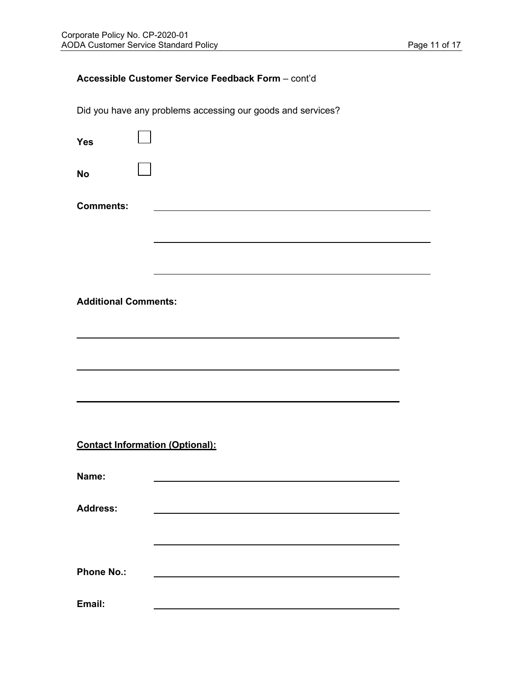## **Accessible Customer Service Feedback Form** – cont'd

Did you have any problems accessing our goods and services?

| <b>Yes</b>                             |  |
|----------------------------------------|--|
| <b>No</b>                              |  |
| <b>Comments:</b>                       |  |
|                                        |  |
|                                        |  |
|                                        |  |
| <b>Additional Comments:</b>            |  |
|                                        |  |
|                                        |  |
|                                        |  |
|                                        |  |
| <b>Contact Information (Optional):</b> |  |
| Name:                                  |  |
| <b>Address:</b>                        |  |
|                                        |  |
| <b>Phone No.:</b>                      |  |
| Email:                                 |  |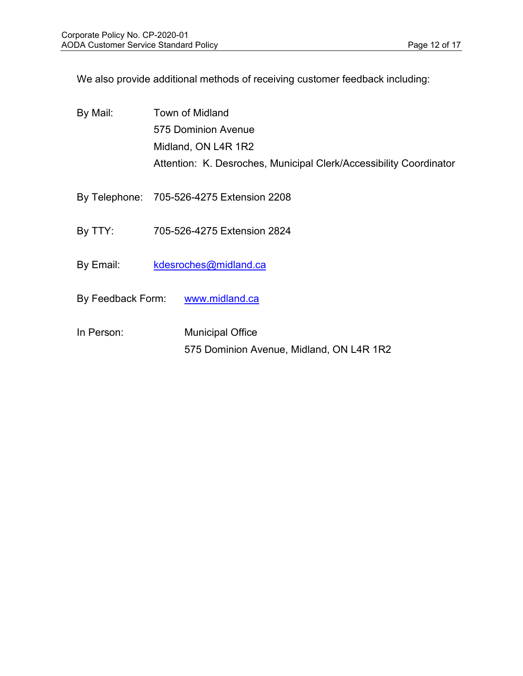We also provide additional methods of receiving customer feedback including:

| By Mail:   | <b>Town of Midland</b>                                              |
|------------|---------------------------------------------------------------------|
|            | 575 Dominion Avenue                                                 |
|            | Midland, ON L4R 1R2                                                 |
|            | Attention: K. Desroches, Municipal Clerk/Accessibility Coordinator  |
|            | By Telephone: 705-526-4275 Extension 2208                           |
| By TTY:    | 705-526-4275 Extension 2824                                         |
| By Email:  | kdesroches@midland.ca                                               |
|            | By Feedback Form: www.midland.ca                                    |
| In Person: | <b>Municipal Office</b><br>575 Dominion Avenue, Midland, ON L4R 1R2 |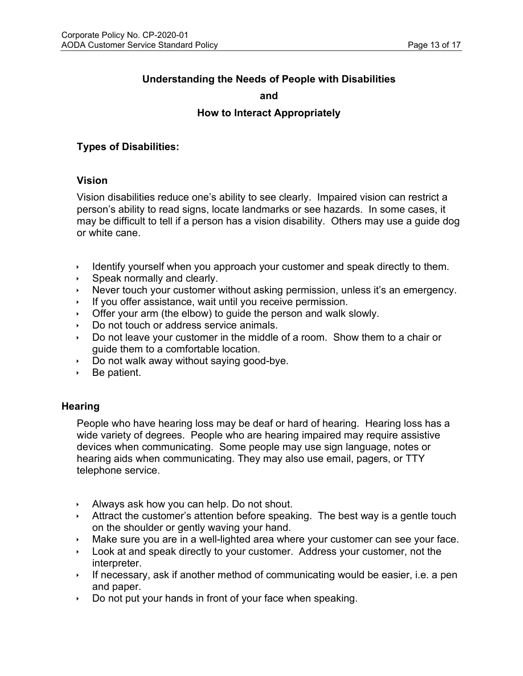# **Understanding the Needs of People with Disabilities**

#### **and**

## **How to Interact Appropriately**

#### **Types of Disabilities:**

#### **Vision**

Vision disabilities reduce one's ability to see clearly. Impaired vision can restrict a person's ability to read signs, locate landmarks or see hazards. In some cases, it may be difficult to tell if a person has a vision disability. Others may use a guide dog or white cane.

- Identify yourself when you approach your customer and speak directly to them.
- $\rightarrow$  Speak normally and clearly.
- Never touch your customer without asking permission, unless it's an emergency.
- If you offer assistance, wait until you receive permission.
- $\rightarrow$  Offer your arm (the elbow) to guide the person and walk slowly.
- Do not touch or address service animals.
- Do not leave your customer in the middle of a room. Show them to a chair or guide them to a comfortable location.
- $\rightarrow$  Do not walk away without saying good-bye.
- $\rightarrow$  Be patient.

#### **Hearing**

People who have hearing loss may be deaf or hard of hearing. Hearing loss has a wide variety of degrees. People who are hearing impaired may require assistive devices when communicating. Some people may use sign language, notes or hearing aids when communicating. They may also use email, pagers, or TTY telephone service.

- $\rightarrow$  Always ask how you can help. Do not shout.
- Attract the customer's attention before speaking. The best way is a gentle touch on the shoulder or gently waving your hand.
- Make sure you are in a well-lighted area where your customer can see your face.
- $\rightarrow$  Look at and speak directly to your customer. Address your customer, not the interpreter.
- If necessary, ask if another method of communicating would be easier, i.e. a pen and paper.
- $\rightarrow$  Do not put your hands in front of your face when speaking.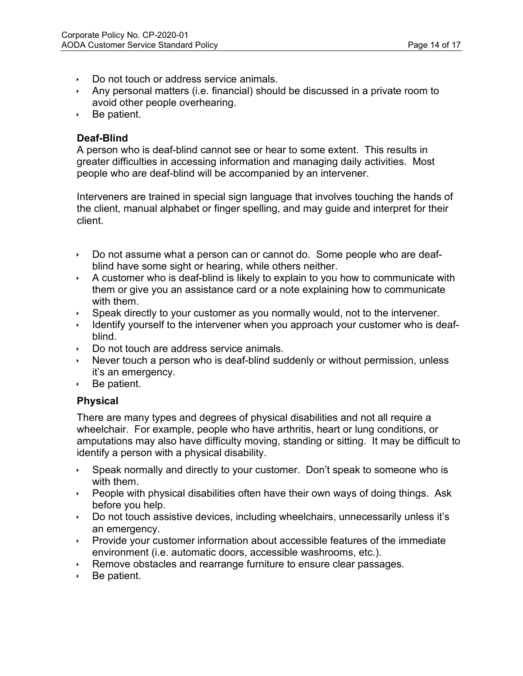- Do not touch or address service animals.
- Any personal matters (i.e. financial) should be discussed in a private room to avoid other people overhearing.
- ▶ Be patient.

## **Deaf-Blind**

A person who is deaf-blind cannot see or hear to some extent. This results in greater difficulties in accessing information and managing daily activities. Most people who are deaf-blind will be accompanied by an intervener.

Interveners are trained in special sign language that involves touching the hands of the client, manual alphabet or finger spelling, and may guide and interpret for their client.

- Do not assume what a person can or cannot do. Some people who are deafblind have some sight or hearing, while others neither.
- $\rightarrow$  A customer who is deaf-blind is likely to explain to you how to communicate with them or give you an assistance card or a note explaining how to communicate with them.
- Speak directly to your customer as you normally would, not to the intervener.
- Identify yourself to the intervener when you approach your customer who is deafblind.
- Do not touch are address service animals.
- Never touch a person who is deaf-blind suddenly or without permission, unless it's an emergency.
- $\rightarrow$  Be patient.

## **Physical**

There are many types and degrees of physical disabilities and not all require a wheelchair. For example, people who have arthritis, heart or lung conditions, or amputations may also have difficulty moving, standing or sitting. It may be difficult to identify a person with a physical disability.

- $\rightarrow$  Speak normally and directly to your customer. Don't speak to someone who is with them.
- People with physical disabilities often have their own ways of doing things. Ask before you help.
- Do not touch assistive devices, including wheelchairs, unnecessarily unless it's an emergency.
- Provide your customer information about accessible features of the immediate environment (i.e. automatic doors, accessible washrooms, etc.).
- ▶ Remove obstacles and rearrange furniture to ensure clear passages.
- $\rightarrow$  Be patient.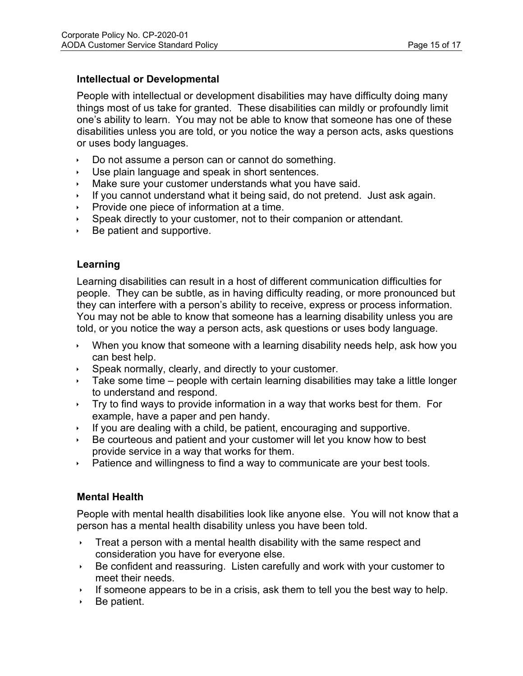## **Intellectual or Developmental**

People with intellectual or development disabilities may have difficulty doing many things most of us take for granted. These disabilities can mildly or profoundly limit one's ability to learn. You may not be able to know that someone has one of these disabilities unless you are told, or you notice the way a person acts, asks questions or uses body languages.

- $\triangleright$  Do not assume a person can or cannot do something.
- $\cdot$  Use plain language and speak in short sentences.
- Make sure your customer understands what you have said.
- If you cannot understand what it being said, do not pretend. Just ask again.
- Provide one piece of information at a time.
- Speak directly to your customer, not to their companion or attendant.
- $\rightarrow$  Be patient and supportive.

## **Learning**

Learning disabilities can result in a host of different communication difficulties for people. They can be subtle, as in having difficulty reading, or more pronounced but they can interfere with a person's ability to receive, express or process information. You may not be able to know that someone has a learning disability unless you are told, or you notice the way a person acts, ask questions or uses body language.

- When you know that someone with a learning disability needs help, ask how you can best help.
- $\rightarrow$  Speak normally, clearly, and directly to your customer.
- Take some time people with certain learning disabilities may take a little longer to understand and respond.
- $\rightarrow$  Try to find ways to provide information in a way that works best for them. For example, have a paper and pen handy.
- If you are dealing with a child, be patient, encouraging and supportive.
- Be courteous and patient and your customer will let you know how to best provide service in a way that works for them.
- $\rightarrow$  Patience and willingness to find a way to communicate are your best tools.

## **Mental Health**

People with mental health disabilities look like anyone else. You will not know that a person has a mental health disability unless you have been told.

- Treat a person with a mental health disability with the same respect and consideration you have for everyone else.
- Be confident and reassuring. Listen carefully and work with your customer to meet their needs.
- If someone appears to be in a crisis, ask them to tell you the best way to help.
- Be patient.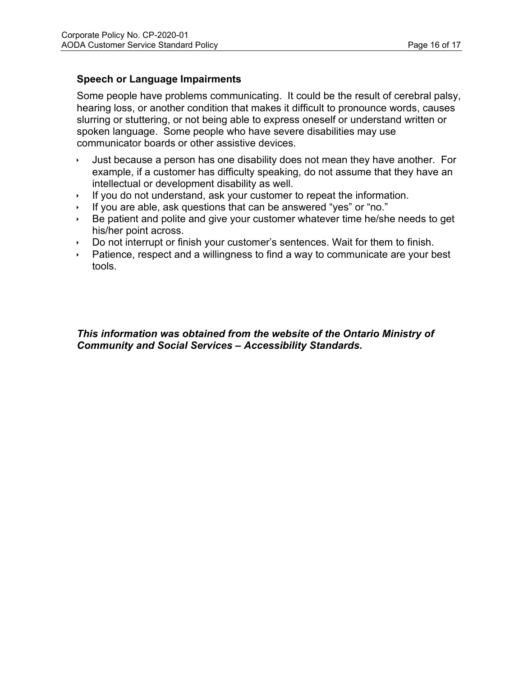## **Speech or Language Impairments**

Some people have problems communicating. It could be the result of cerebral palsy, hearing loss, or another condition that makes it difficult to pronounce words, causes slurring or stuttering, or not being able to express oneself or understand written or spoken language. Some people who have severe disabilities may use communicator boards or other assistive devices.

- Just because a person has one disability does not mean they have another. For example, if a customer has difficulty speaking, do not assume that they have an intellectual or development disability as well.
- If you do not understand, ask your customer to repeat the information.
- If you are able, ask questions that can be answered "yes" or "no."
- $\rightarrow$  Be patient and polite and give your customer whatever time he/she needs to get his/her point across.
- Do not interrupt or finish your customer's sentences. Wait for them to finish.
- Patience, respect and a willingness to find a way to communicate are your best tools.

#### *This information was obtained from the website of the Ontario Ministry of Community and Social Services – Accessibility Standards.*